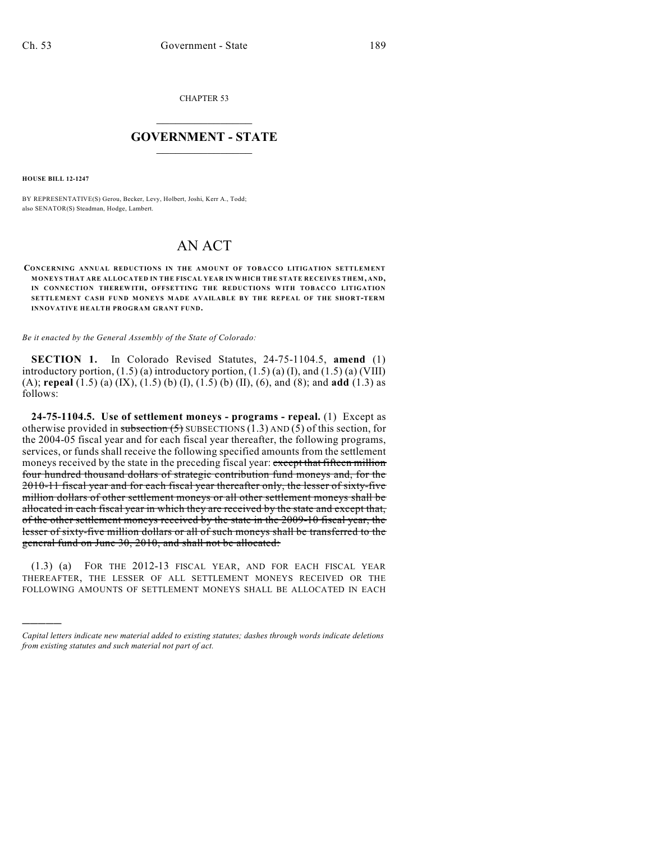CHAPTER 53

## $\mathcal{L}_\text{max}$  . The set of the set of the set of the set of the set of the set of the set of the set of the set of the set of the set of the set of the set of the set of the set of the set of the set of the set of the set **GOVERNMENT - STATE**  $\_$   $\_$

**HOUSE BILL 12-1247**

)))))

BY REPRESENTATIVE(S) Gerou, Becker, Levy, Holbert, Joshi, Kerr A., Todd; also SENATOR(S) Steadman, Hodge, Lambert.

## AN ACT

**CONCERNING ANNUAL REDUCTIONS IN THE AMOUNT OF TOBACCO LITIGATION SETTLEMENT MONEYS THAT ARE ALLOCATED IN THE FISCAL YEAR IN WHICH THE STATE RECEIVES THEM, AND, IN CONNECTION THEREWITH, OFFSETTING THE REDUCTIONS WITH TOBACCO LITIGATION SETTLEMENT CASH FUND MONEYS MADE AVAILABLE BY THE REPEAL OF THE SHORT-TERM INNOVATIVE HEALTH PROGRAM GRANT FUND.**

*Be it enacted by the General Assembly of the State of Colorado:*

**SECTION 1.** In Colorado Revised Statutes, 24-75-1104.5, **amend** (1) introductory portion,  $(1.5)$  (a) introductory portion,  $(1.5)$  (a)  $(I)$ , and  $(1.5)$  (a) (VIII) (A); **repeal** (1.5) (a) (IX), (1.5) (b) (I), (1.5) (b) (II), (6), and (8); and **add** (1.3) as follows:

**24-75-1104.5. Use of settlement moneys - programs - repeal.** (1) Except as otherwise provided in subsection  $(5)$  SUBSECTIONS (1.3) AND (5) of this section, for the 2004-05 fiscal year and for each fiscal year thereafter, the following programs, services, or funds shall receive the following specified amounts from the settlement moneys received by the state in the preceding fiscal year: except that fifteen million four hundred thousand dollars of strategic contribution fund moneys and, for the 2010-11 fiscal year and for each fiscal year thereafter only, the lesser of sixty-five million dollars of other settlement moneys or all other settlement moneys shall be allocated in each fiscal year in which they are received by the state and except that, of the other settlement moneys received by the state in the 2009-10 fiscal year, the lesser of sixty-five million dollars or all of such moneys shall be transferred to the general fund on June 30, 2010, and shall not be allocated:

(1.3) (a) FOR THE 2012-13 FISCAL YEAR, AND FOR EACH FISCAL YEAR THEREAFTER, THE LESSER OF ALL SETTLEMENT MONEYS RECEIVED OR THE FOLLOWING AMOUNTS OF SETTLEMENT MONEYS SHALL BE ALLOCATED IN EACH

*Capital letters indicate new material added to existing statutes; dashes through words indicate deletions from existing statutes and such material not part of act.*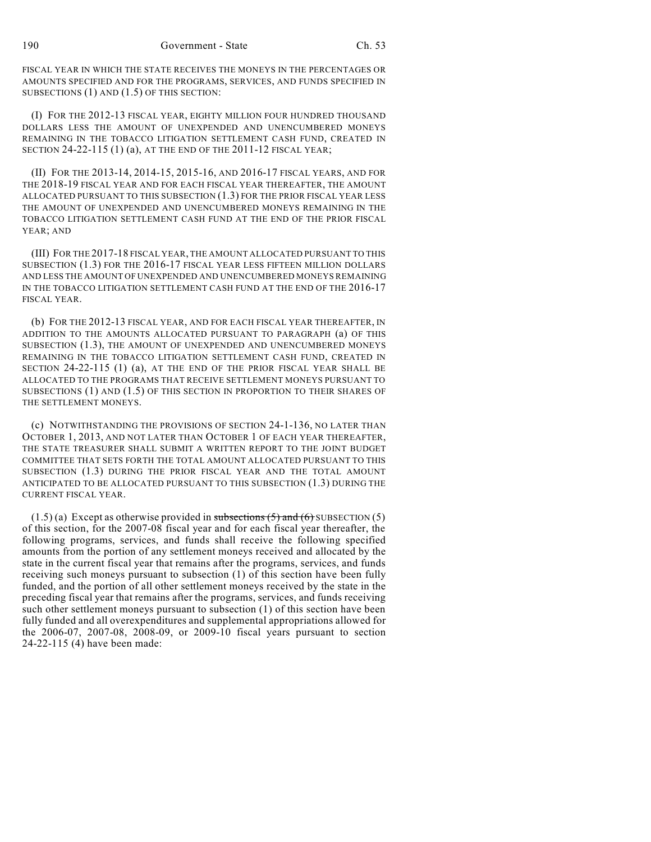FISCAL YEAR IN WHICH THE STATE RECEIVES THE MONEYS IN THE PERCENTAGES OR AMOUNTS SPECIFIED AND FOR THE PROGRAMS, SERVICES, AND FUNDS SPECIFIED IN SUBSECTIONS (1) AND (1.5) OF THIS SECTION:

(I) FOR THE 2012-13 FISCAL YEAR, EIGHTY MILLION FOUR HUNDRED THOUSAND DOLLARS LESS THE AMOUNT OF UNEXPENDED AND UNENCUMBERED MONEYS REMAINING IN THE TOBACCO LITIGATION SETTLEMENT CASH FUND, CREATED IN SECTION 24-22-115 (1) (a), AT THE END OF THE 2011-12 FISCAL YEAR;

(II) FOR THE 2013-14, 2014-15, 2015-16, AND 2016-17 FISCAL YEARS, AND FOR THE 2018-19 FISCAL YEAR AND FOR EACH FISCAL YEAR THEREAFTER, THE AMOUNT ALLOCATED PURSUANT TO THIS SUBSECTION (1.3) FOR THE PRIOR FISCAL YEAR LESS THE AMOUNT OF UNEXPENDED AND UNENCUMBERED MONEYS REMAINING IN THE TOBACCO LITIGATION SETTLEMENT CASH FUND AT THE END OF THE PRIOR FISCAL YEAR; AND

(III) FOR THE 2017-18 FISCAL YEAR, THE AMOUNT ALLOCATED PURSUANT TO THIS SUBSECTION (1.3) FOR THE 2016-17 FISCAL YEAR LESS FIFTEEN MILLION DOLLARS AND LESS THE AMOUNT OF UNEXPENDED AND UNENCUMBERED MONEYS REMAINING IN THE TOBACCO LITIGATION SETTLEMENT CASH FUND AT THE END OF THE 2016-17 FISCAL YEAR.

(b) FOR THE 2012-13 FISCAL YEAR, AND FOR EACH FISCAL YEAR THEREAFTER, IN ADDITION TO THE AMOUNTS ALLOCATED PURSUANT TO PARAGRAPH (a) OF THIS SUBSECTION (1.3), THE AMOUNT OF UNEXPENDED AND UNENCUMBERED MONEYS REMAINING IN THE TOBACCO LITIGATION SETTLEMENT CASH FUND, CREATED IN SECTION 24-22-115 (1) (a), AT THE END OF THE PRIOR FISCAL YEAR SHALL BE ALLOCATED TO THE PROGRAMS THAT RECEIVE SETTLEMENT MONEYS PURSUANT TO SUBSECTIONS (1) AND (1.5) OF THIS SECTION IN PROPORTION TO THEIR SHARES OF THE SETTLEMENT MONEYS.

(c) NOTWITHSTANDING THE PROVISIONS OF SECTION 24-1-136, NO LATER THAN OCTOBER 1, 2013, AND NOT LATER THAN OCTOBER 1 OF EACH YEAR THEREAFTER, THE STATE TREASURER SHALL SUBMIT A WRITTEN REPORT TO THE JOINT BUDGET COMMITTEE THAT SETS FORTH THE TOTAL AMOUNT ALLOCATED PURSUANT TO THIS SUBSECTION (1.3) DURING THE PRIOR FISCAL YEAR AND THE TOTAL AMOUNT ANTICIPATED TO BE ALLOCATED PURSUANT TO THIS SUBSECTION (1.3) DURING THE CURRENT FISCAL YEAR.

 $(1.5)$  (a) Except as otherwise provided in subsections  $(5)$  and  $(6)$  SUBSECTION  $(5)$ of this section, for the 2007-08 fiscal year and for each fiscal year thereafter, the following programs, services, and funds shall receive the following specified amounts from the portion of any settlement moneys received and allocated by the state in the current fiscal year that remains after the programs, services, and funds receiving such moneys pursuant to subsection (1) of this section have been fully funded, and the portion of all other settlement moneys received by the state in the preceding fiscal year that remains after the programs, services, and funds receiving such other settlement moneys pursuant to subsection (1) of this section have been fully funded and all overexpenditures and supplemental appropriations allowed for the 2006-07, 2007-08, 2008-09, or 2009-10 fiscal years pursuant to section 24-22-115 (4) have been made: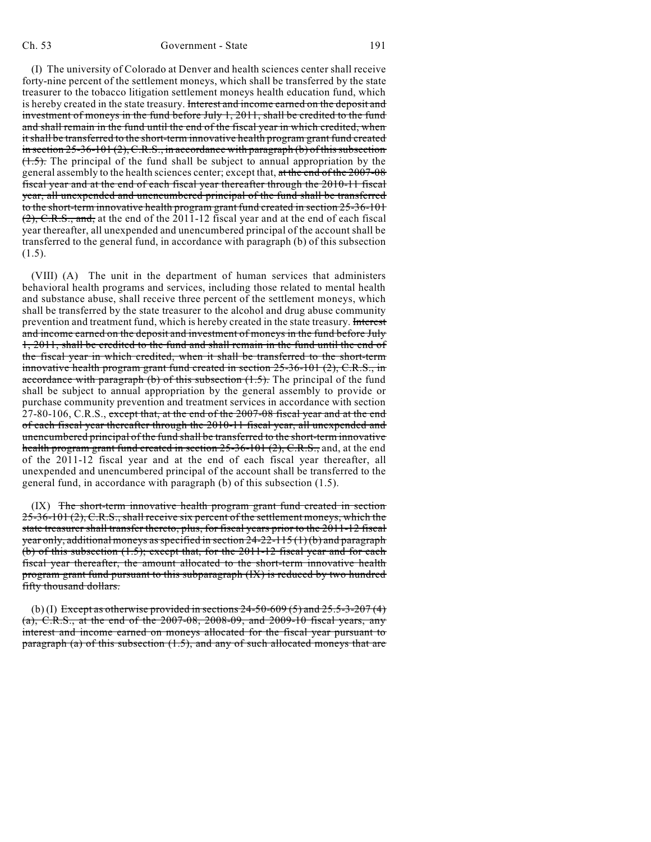(I) The university of Colorado at Denver and health sciences center shall receive forty-nine percent of the settlement moneys, which shall be transferred by the state treasurer to the tobacco litigation settlement moneys health education fund, which is hereby created in the state treasury. Interest and income earned on the deposit and investment of moneys in the fund before July 1, 2011, shall be credited to the fund and shall remain in the fund until the end of the fiscal year in which credited, when itshall be transferred to the short-term innovative health program grant fund created in section  $25-36-101(2)$ , C.R.S., in accordance with paragraph (b) of this subsection  $(1.5)$ . The principal of the fund shall be subject to annual appropriation by the general assembly to the health sciences center; except that, at the end of the 2007-08 fiscal year and at the end of each fiscal year thereafter through the 2010-11 fiscal year, all unexpended and unencumbered principal of the fund shall be transferred to the short-term innovative health program grant fund created in section 25-36-101 (2), C.R.S., and, at the end of the 2011-12 fiscal year and at the end of each fiscal year thereafter, all unexpended and unencumbered principal of the account shall be transferred to the general fund, in accordance with paragraph (b) of this subsection  $(1.5).$ 

(VIII) (A) The unit in the department of human services that administers behavioral health programs and services, including those related to mental health and substance abuse, shall receive three percent of the settlement moneys, which shall be transferred by the state treasurer to the alcohol and drug abuse community prevention and treatment fund, which is hereby created in the state treasury. Interest and income earned on the deposit and investment of moneys in the fund before July 1, 2011, shall be credited to the fund and shall remain in the fund until the end of the fiscal year in which credited, when it shall be transferred to the short-term innovative health program grant fund created in section 25-36-101 (2), C.R.S., in accordance with paragraph (b) of this subsection  $(1.5)$ . The principal of the fund shall be subject to annual appropriation by the general assembly to provide or purchase community prevention and treatment services in accordance with section 27-80-106, C.R.S., except that, at the end of the 2007-08 fiscal year and at the end of each fiscal year thereafter through the 2010-11 fiscal year, all unexpended and unencumbered principal of the fund shall be transferred to the short-term innovative health program grant fund created in section 25-36-101 (2), C.R.S., and, at the end of the 2011-12 fiscal year and at the end of each fiscal year thereafter, all unexpended and unencumbered principal of the account shall be transferred to the general fund, in accordance with paragraph (b) of this subsection (1.5).

(IX) The short-term innovative health program grant fund created in section 25-36-101 (2), C.R.S., shall receive six percent of the settlement moneys, which the state treasurer shall transfer thereto, plus, for fiscal years prior to the 2011-12 fiscal year only, additional moneys as specified in section  $24-22-115(1)(b)$  and paragraph (b) of this subsection (1.5); except that, for the 2011-12 fiscal year and for each fiscal year thereafter, the amount allocated to the short-term innovative health program grant fund pursuant to this subparagraph (IX) is reduced by two hundred fifty thousand dollars.

(b) (I) Except as otherwise provided in sections  $24-50-609(5)$  and  $25.5-3-207(4)$ (a), C.R.S., at the end of the 2007-08, 2008-09, and 2009-10 fiscal years, any interest and income earned on moneys allocated for the fiscal year pursuant to paragraph (a) of this subsection (1.5), and any of such allocated moneys that are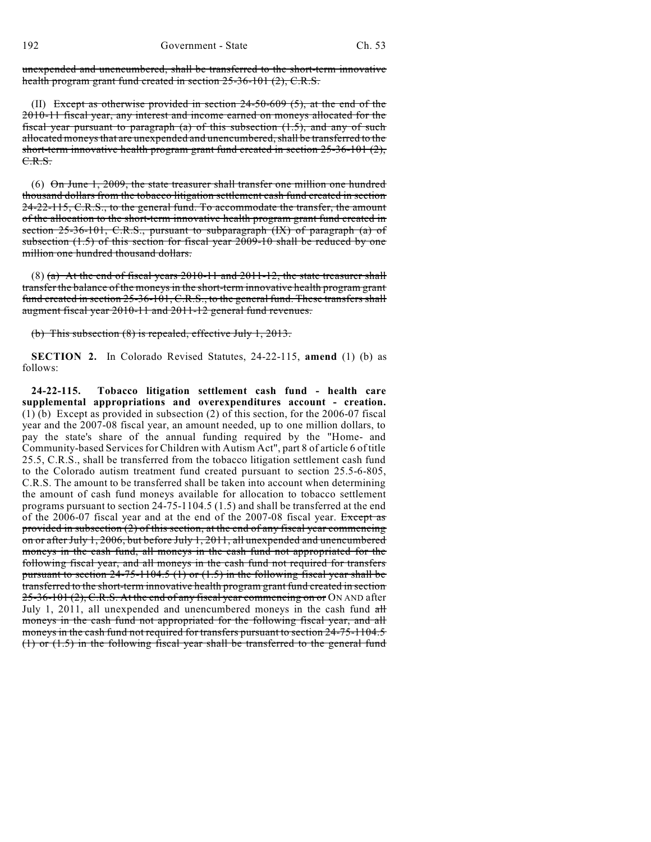unexpended and unencumbered, shall be transferred to the short-term innovative health program grant fund created in section 25-36-101 (2), C.R.S.

(II) Except as otherwise provided in section  $24-50-609$  (5), at the end of the 2010-11 fiscal year, any interest and income earned on moneys allocated for the fiscal year pursuant to paragraph  $(a)$  of this subsection  $(1.5)$ , and any of such allocated moneys that are unexpended and unencumbered, shall be transferred to the short-term innovative health program grant fund created in section 25-36-101 (2), C.R.S.

(6) On June 1, 2009, the state treasurer shall transfer one million one hundred thousand dollars from the tobacco litigation settlement cash fund created in section 24-22-115, C.R.S., to the general fund. To accommodate the transfer, the amount of the allocation to the short-term innovative health program grant fund created in section 25-36-101, C.R.S., pursuant to subparagraph (IX) of paragraph (a) of subsection (1.5) of this section for fiscal year 2009-10 shall be reduced by one million one hundred thousand dollars.

(8) (a) At the end of fiscal years  $2010-11$  and  $2011-12$ , the state treasurer shall transfer the balance of the moneys in the short-term innovative health program grant fund created in section 25-36-101, C.R.S., to the general fund. These transfers shall augment fiscal year 2010-11 and 2011-12 general fund revenues.

(b) This subsection (8) is repealed, effective July 1, 2013.

**SECTION 2.** In Colorado Revised Statutes, 24-22-115, **amend** (1) (b) as follows:

**24-22-115. Tobacco litigation settlement cash fund - health care supplemental appropriations and overexpenditures account - creation.** (1) (b) Except as provided in subsection (2) of this section, for the 2006-07 fiscal year and the 2007-08 fiscal year, an amount needed, up to one million dollars, to pay the state's share of the annual funding required by the "Home- and Community-based Servicesfor Children with Autism Act", part 8 of article 6 of title 25.5, C.R.S., shall be transferred from the tobacco litigation settlement cash fund to the Colorado autism treatment fund created pursuant to section 25.5-6-805, C.R.S. The amount to be transferred shall be taken into account when determining the amount of cash fund moneys available for allocation to tobacco settlement programs pursuant to section 24-75-1104.5 (1.5) and shall be transferred at the end of the 2006-07 fiscal year and at the end of the 2007-08 fiscal year. Except as provided in subsection (2) of this section, at the end of any fiscal year commencing on or after July 1, 2006, but before July 1, 2011, all unexpended and unencumbered moneys in the cash fund, all moneys in the cash fund not appropriated for the following fiscal year, and all moneys in the cash fund not required for transfers pursuant to section  $24-75-1104.5$  (1) or  $(1.5)$  in the following fiscal year shall be transferred to the short-term innovative health program grant fund created in section 25-36-101 (2), C.R.S. At the end of any fiscal year commencing on or ON AND after July 1, 2011, all unexpended and unencumbered moneys in the cash fund all moneys in the cash fund not appropriated for the following fiscal year, and all moneys in the cash fund not required for transfers pursuant to section 24-75-1104.5 (1) or (1.5) in the following fiscal year shall be transferred to the general fund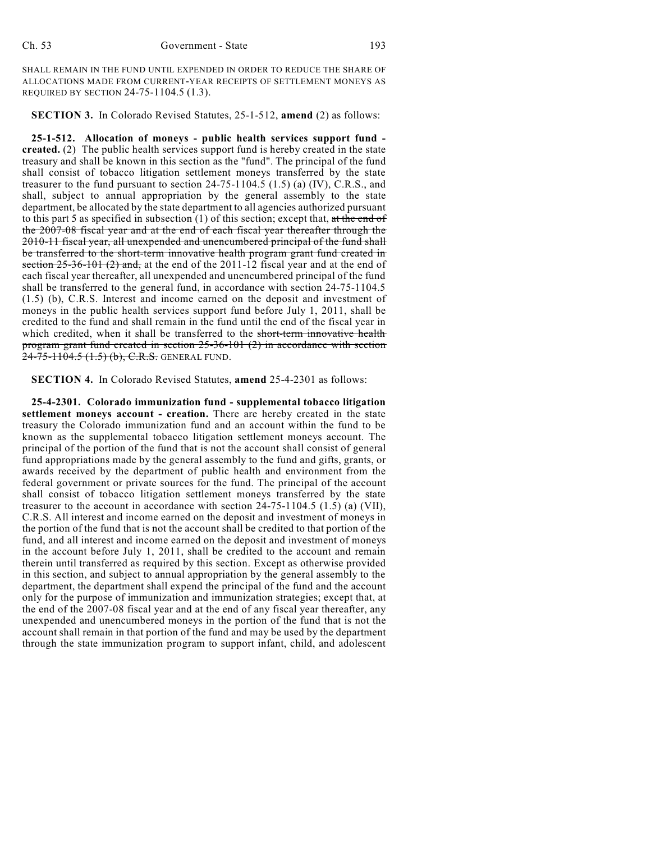SHALL REMAIN IN THE FUND UNTIL EXPENDED IN ORDER TO REDUCE THE SHARE OF ALLOCATIONS MADE FROM CURRENT-YEAR RECEIPTS OF SETTLEMENT MONEYS AS REQUIRED BY SECTION 24-75-1104.5 (1.3).

**SECTION 3.** In Colorado Revised Statutes, 25-1-512, **amend** (2) as follows:

**25-1-512. Allocation of moneys - public health services support fund created.** (2) The public health services support fund is hereby created in the state treasury and shall be known in this section as the "fund". The principal of the fund shall consist of tobacco litigation settlement moneys transferred by the state treasurer to the fund pursuant to section  $24-75-1104.5$  (1.5) (a) (IV), C.R.S., and shall, subject to annual appropriation by the general assembly to the state department, be allocated by the state department to all agencies authorized pursuant to this part 5 as specified in subsection  $(1)$  of this section; except that, at the end of the 2007-08 fiscal year and at the end of each fiscal year thereafter through the 2010-11 fiscal year, all unexpended and unencumbered principal of the fund shall be transferred to the short-term innovative health program grant fund created in section  $25-36-101$  (2) and, at the end of the 2011-12 fiscal year and at the end of each fiscal year thereafter, all unexpended and unencumbered principal of the fund shall be transferred to the general fund, in accordance with section 24-75-1104.5 (1.5) (b), C.R.S. Interest and income earned on the deposit and investment of moneys in the public health services support fund before July 1, 2011, shall be credited to the fund and shall remain in the fund until the end of the fiscal year in which credited, when it shall be transferred to the short-term innovative health program grant fund created in section 25-36-101 (2) in accordance with section 24-75-1104.5 (1.5) (b), C.R.S. GENERAL FUND.

**SECTION 4.** In Colorado Revised Statutes, **amend** 25-4-2301 as follows:

**25-4-2301. Colorado immunization fund - supplemental tobacco litigation settlement moneys account - creation.** There are hereby created in the state treasury the Colorado immunization fund and an account within the fund to be known as the supplemental tobacco litigation settlement moneys account. The principal of the portion of the fund that is not the account shall consist of general fund appropriations made by the general assembly to the fund and gifts, grants, or awards received by the department of public health and environment from the federal government or private sources for the fund. The principal of the account shall consist of tobacco litigation settlement moneys transferred by the state treasurer to the account in accordance with section 24-75-1104.5 (1.5) (a) (VII), C.R.S. All interest and income earned on the deposit and investment of moneys in the portion of the fund that is not the account shall be credited to that portion of the fund, and all interest and income earned on the deposit and investment of moneys in the account before July 1, 2011, shall be credited to the account and remain therein until transferred as required by this section. Except as otherwise provided in this section, and subject to annual appropriation by the general assembly to the department, the department shall expend the principal of the fund and the account only for the purpose of immunization and immunization strategies; except that, at the end of the 2007-08 fiscal year and at the end of any fiscal year thereafter, any unexpended and unencumbered moneys in the portion of the fund that is not the account shall remain in that portion of the fund and may be used by the department through the state immunization program to support infant, child, and adolescent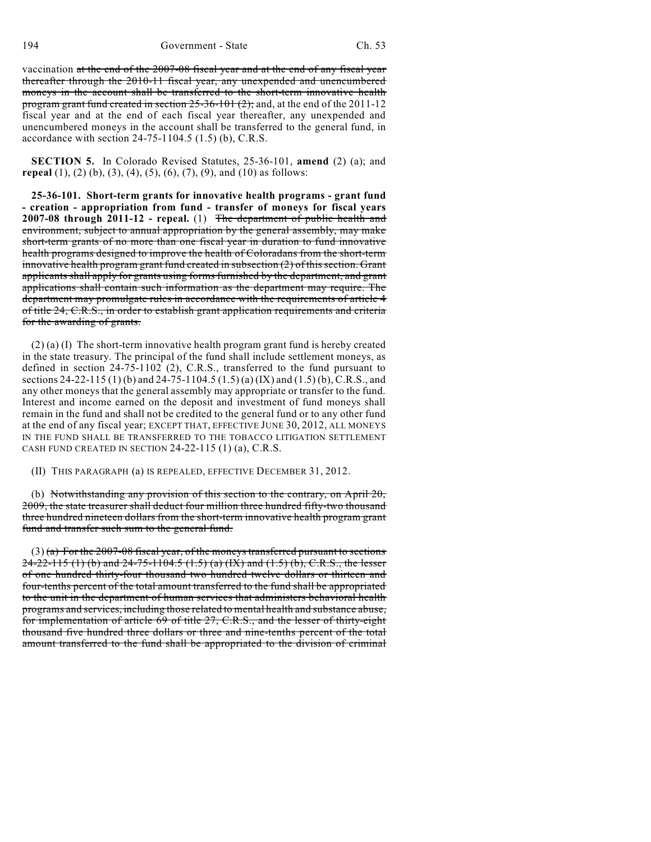vaccination at the end of the 2007-08 fiscal year and at the end of any fiscal year thereafter through the 2010-11 fiscal year, any unexpended and unencumbered moneys in the account shall be transferred to the short-term innovative health program grant fund created in section 25-36-101 (2); and, at the end of the 2011-12 fiscal year and at the end of each fiscal year thereafter, any unexpended and unencumbered moneys in the account shall be transferred to the general fund, in accordance with section 24-75-1104.5 (1.5) (b), C.R.S.

**SECTION 5.** In Colorado Revised Statutes, 25-36-101, **amend** (2) (a); and **repeal** (1), (2) (b), (3), (4), (5), (6), (7), (9), and (10) as follows:

**25-36-101. Short-term grants for innovative health programs - grant fund - creation - appropriation from fund - transfer of moneys for fiscal years 2007-08 through 2011-12 - repeal.** (1) The department of public health and environment, subject to annual appropriation by the general assembly, may make short-term grants of no more than one fiscal year in duration to fund innovative health programs designed to improve the health of Coloradans from the short-term innovative health program grant fund created in subsection  $(2)$  of this section. Grant applicants shall apply for grants using forms furnished by the department, and grant applications shall contain such information as the department may require. The department may promulgate rules in accordance with the requirements of article 4 of title 24, C.R.S., in order to establish grant application requirements and criteria for the awarding of grants.

 $(2)$  (a) (I) The short-term innovative health program grant fund is hereby created in the state treasury. The principal of the fund shall include settlement moneys, as defined in section 24-75-1102 (2), C.R.S., transferred to the fund pursuant to sections 24-22-115 (1) (b) and 24-75-1104.5 (1.5) (a) (IX) and (1.5) (b), C.R.S., and any other moneys that the general assembly may appropriate or transfer to the fund. Interest and income earned on the deposit and investment of fund moneys shall remain in the fund and shall not be credited to the general fund or to any other fund at the end of any fiscal year; EXCEPT THAT, EFFECTIVE JUNE 30, 2012, ALL MONEYS IN THE FUND SHALL BE TRANSFERRED TO THE TOBACCO LITIGATION SETTLEMENT CASH FUND CREATED IN SECTION 24-22-115 (1) (a), C.R.S.

(II) THIS PARAGRAPH (a) IS REPEALED, EFFECTIVE DECEMBER 31, 2012.

(b) Notwithstanding any provision of this section to the contrary, on April 20, 2009, the state treasurer shall deduct four million three hundred fifty-two thousand three hundred nineteen dollars from the short-term innovative health program grant fund and transfer such sum to the general fund.

 $(3)$  (a) For the 2007-08 fiscal year, of the moneys transferred pursuant to sections  $24-22-115$  (1) (b) and  $24-75-1104.5$  (1.5) (a) (IX) and (1.5) (b), C.R.S., the lesser of one hundred thirty-four thousand two hundred twelve dollars or thirteen and four-tenths percent of the total amount transferred to the fund shall be appropriated to the unit in the department of human services that administers behavioral health programs and services, including those related to mental health and substance abuse, for implementation of article 69 of title 27, C.R.S., and the lesser of thirty-eight thousand five hundred three dollars or three and nine-tenths percent of the total amount transferred to the fund shall be appropriated to the division of criminal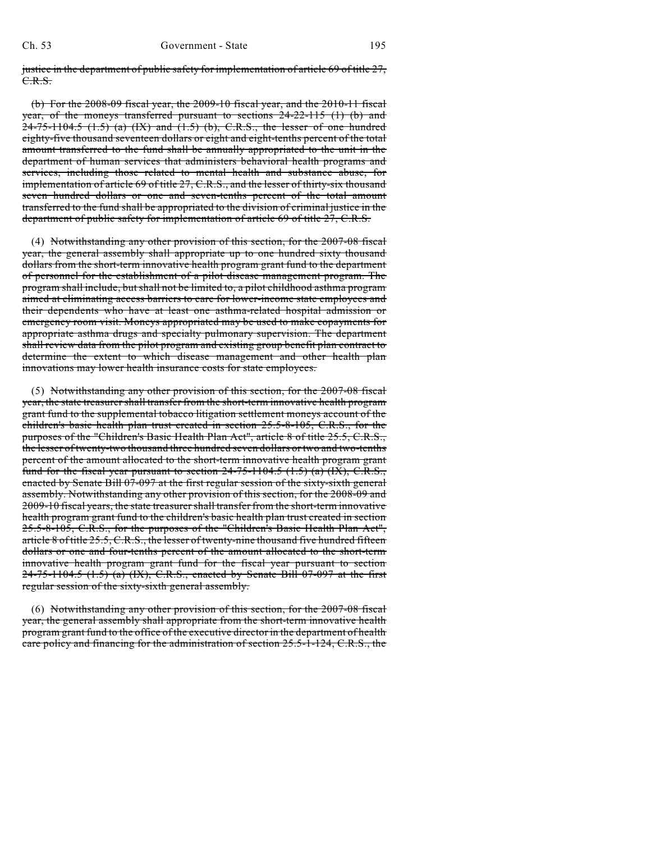justice in the department of public safety for implementation of article 69 of title 27, C.R.S.

(b) For the 2008-09 fiscal year, the 2009-10 fiscal year, and the 2010-11 fiscal year, of the moneys transferred pursuant to sections 24-22-115 (1) (b) and  $24-75-1104.5$   $(1.5)$   $(a)$   $(IX)$  and  $(1.5)$   $(b)$ , C.R.S., the lesser of one hundred eighty-five thousand seventeen dollars or eight and eight-tenths percent of the total amount transferred to the fund shall be annually appropriated to the unit in the department of human services that administers behavioral health programs and services, including those related to mental health and substance abuse, for implementation of article 69 of title 27, C.R.S., and the lesser of thirty-six thousand seven hundred dollars or one and seven-tenths percent of the total amount transferred to the fund shall be appropriated to the division of criminal justice in the department of public safety for implementation of article 69 of title 27, C.R.S.

(4) Notwithstanding any other provision of this section, for the 2007-08 fiscal year, the general assembly shall appropriate up to one hundred sixty thousand dollars from the short-term innovative health program grant fund to the department of personnel for the establishment of a pilot disease management program. The program shall include, but shall not be limited to, a pilot childhood asthma program aimed at eliminating access barriers to care for lower-income state employees and their dependents who have at least one asthma-related hospital admission or emergency room visit. Moneys appropriated may be used to make copayments for appropriate asthma drugs and specialty pulmonary supervision. The department shall review data from the pilot program and existing group benefit plan contract to determine the extent to which disease management and other health plan innovations may lower health insurance costs for state employees.

(5) Notwithstanding any other provision of this section, for the 2007-08 fiscal year, the state treasurer shall transfer from the short-term innovative health program grant fund to the supplemental tobacco litigation settlement moneys account of the children's basic health plan trust created in section 25.5-8-105, C.R.S., for the purposes of the "Children's Basic Health Plan Act", article 8 of title 25.5, C.R.S., the lesser of twenty-two thousand three hundred seven dollars or two and two-tenths percent of the amount allocated to the short-term innovative health program grant fund for the fiscal year pursuant to section  $24-75-1104.5$   $(1.5)$   $(a)$   $(IX)$ , C.R.S., enacted by Senate Bill 07-097 at the first regular session of the sixty-sixth general assembly. Notwithstanding any other provision of this section, for the 2008-09 and 2009-10 fiscal years, the state treasurershall transfer from the short-term innovative health program grant fund to the children's basic health plan trust created in section 25.5-8-105, C.R.S., for the purposes of the "Children's Basic Health Plan Act", article 8 of title 25.5, C.R.S., the lesser of twenty-nine thousand five hundred fifteen dollars or one and four-tenths percent of the amount allocated to the short-term innovative health program grant fund for the fiscal year pursuant to section  $24-75-1104.5$  (1.5) (a) (IX), C.R.S., enacted by Senate Bill 07-097 at the first regular session of the sixty-sixth general assembly.

(6) Notwithstanding any other provision of this section, for the 2007-08 fiscal year, the general assembly shall appropriate from the short-term innovative health program grant fund to the office of the executive director in the department of health care policy and financing for the administration of section 25.5-1-124, C.R.S., the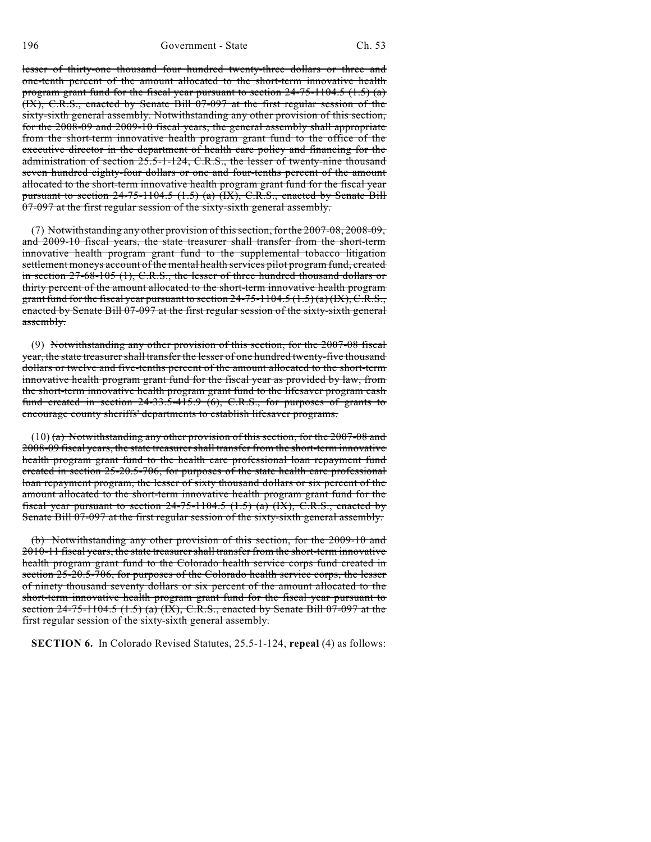196 Government - State Ch. 53

lesser of thirty-one thousand four hundred twenty-three dollars or three and one-tenth percent of the amount allocated to the short-term innovative health program grant fund for the fiscal year pursuant to section  $24-75-1104.5$  (1.5) (a) (IX), C.R.S., enacted by Senate Bill 07-097 at the first regular session of the sixty-sixth general assembly. Notwithstanding any other provision of this section, for the 2008-09 and 2009-10 fiscal years, the general assembly shall appropriate from the short-term innovative health program grant fund to the office of the executive director in the department of health care policy and financing for the administration of section 25.5-1-124, C.R.S., the lesser of twenty-nine thousand seven hundred eighty-four dollars or one and four-tenths percent of the amount allocated to the short-term innovative health program grant fund for the fiscal year pursuant to section  $24-75-1104.5$  (1.5) (a) (IX), C.R.S., enacted by Senate Bill 07-097 at the first regular session of the sixty-sixth general assembly.

(7) Notwithstanding any other provision ofthissection, for the 2007-08, 2008-09, and 2009-10 fiscal years, the state treasurer shall transfer from the short-term innovative health program grant fund to the supplemental tobacco litigation settlement moneys account of the mental health services pilot program fund, created in section 27-68-105 (1), C.R.S., the lesser of three hundred thousand dollars or thirty percent of the amount allocated to the short-term innovative health program grant fund for the fiscal year pursuant to section  $24-75-1104.5 (1.5)(a)(IX), C.R.S.,$ enacted by Senate Bill 07-097 at the first regular session of the sixty-sixth general assembly.

(9) Notwithstanding any other provision of this section, for the 2007-08 fiscal year, the state treasurer shall transfer the lesser of one hundred twenty-five thousand dollars or twelve and five-tenths percent of the amount allocated to the short-term innovative health program grant fund for the fiscal year as provided by law, from the short-term innovative health program grant fund to the lifesaver program cash fund created in section  $24-33.5-415.9$  (6), C.R.S., for purposes of grants to encourage county sheriffs' departments to establish lifesaver programs.

(10) (a) Notwithstanding any other provision of this section, for the 2007-08 and 2008-09 fiscal years, the state treasurer shall transfer from the short-term innovative health program grant fund to the health care professional loan repayment fund created in section 25-20.5-706, for purposes of the state health care professional loan repayment program, the lesser of sixty thousand dollars or six percent of the amount allocated to the short-term innovative health program grant fund for the fiscal year pursuant to section  $24-75-1104.5$  (1.5) (a) (IX), C.R.S., enacted by Senate Bill 07-097 at the first regular session of the sixty-sixth general assembly.

(b) Notwithstanding any other provision of this section, for the 2009-10 and 2010-11 fiscal years, the state treasurershall transfer from the short-term innovative health program grant fund to the Colorado health service corps fund created in section 25-20.5-706, for purposes of the Colorado health service corps, the lesser of ninety thousand seventy dollars or six percent of the amount allocated to the short-term innovative health program grant fund for the fiscal year pursuant to section  $24-75-1104.5$  (1.5) (a) (IX), C.R.S., enacted by Senate Bill 07-097 at the first regular session of the sixty-sixth general assembly.

**SECTION 6.** In Colorado Revised Statutes, 25.5-1-124, **repeal** (4) as follows: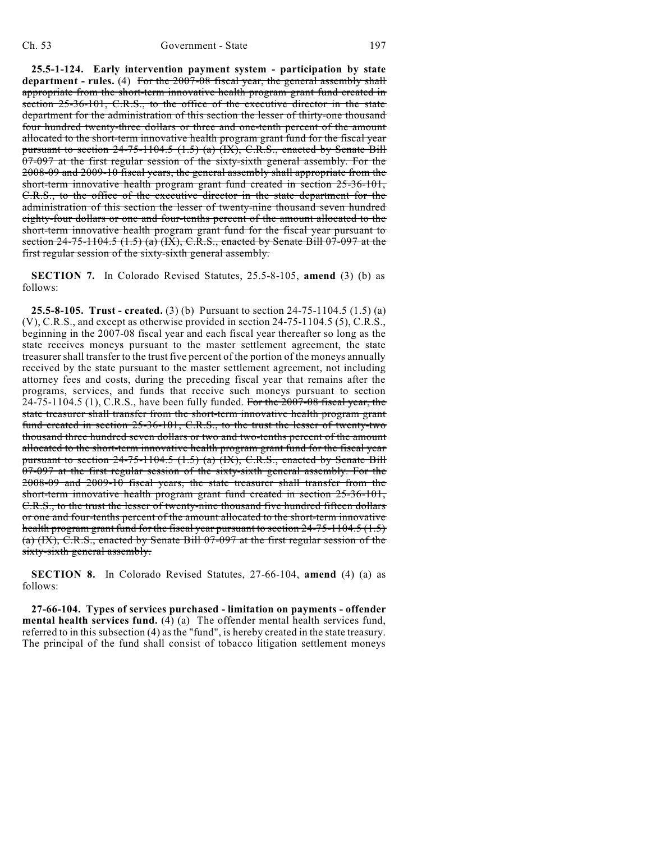**25.5-1-124. Early intervention payment system - participation by state department - rules.** (4) For the 2007-08 fiscal year, the general assembly shall appropriate from the short-term innovative health program grant fund created in section 25-36-101, C.R.S., to the office of the executive director in the state department for the administration of this section the lesser of thirty-one thousand four hundred twenty-three dollars or three and one-tenth percent of the amount allocated to the short-term innovative health program grant fund for the fiscal year pursuant to section 24-75-1104.5 (1.5) (a) (IX), C.R.S., enacted by Senate Bill 07-097 at the first regular session of the sixty-sixth general assembly. For the 2008-09 and 2009-10 fiscal years, the general assembly shall appropriate from the short-term innovative health program grant fund created in section 25-36-101, C.R.S., to the office of the executive director in the state department for the administration of this section the lesser of twenty-nine thousand seven hundred eighty-four dollars or one and four-tenths percent of the amount allocated to the short-term innovative health program grant fund for the fiscal year pursuant to section  $24-75-1104.5$  (1.5) (a) (IX), C.R.S., enacted by Senate Bill 07-097 at the first regular session of the sixty-sixth general assembly.

**SECTION 7.** In Colorado Revised Statutes, 25.5-8-105, **amend** (3) (b) as follows:

**25.5-8-105. Trust - created.** (3) (b) Pursuant to section 24-75-1104.5 (1.5) (a) (V), C.R.S., and except as otherwise provided in section 24-75-1104.5 (5), C.R.S., beginning in the 2007-08 fiscal year and each fiscal year thereafter so long as the state receives moneys pursuant to the master settlement agreement, the state treasurer shall transfer to the trust five percent of the portion of the moneys annually received by the state pursuant to the master settlement agreement, not including attorney fees and costs, during the preceding fiscal year that remains after the programs, services, and funds that receive such moneys pursuant to section  $24-75-1104.5$  (1), C.R.S., have been fully funded. For the  $2007-08$  fiscal year, the state treasurer shall transfer from the short-term innovative health program grant fund created in section 25-36-101, C.R.S., to the trust the lesser of twenty-two thousand three hundred seven dollars or two and two-tenths percent of the amount allocated to the short-term innovative health program grant fund for the fiscal year pursuant to section 24-75-1104.5 (1.5) (a) (IX), C.R.S., enacted by Senate Bill 07-097 at the first regular session of the sixty-sixth general assembly. For the 2008-09 and 2009-10 fiscal years, the state treasurer shall transfer from the short-term innovative health program grant fund created in section 25-36-101, C.R.S., to the trust the lesser of twenty-nine thousand five hundred fifteen dollars or one and four-tenths percent of the amount allocated to the short-term innovative health program grant fund for the fiscal year pursuant to section 24-75-1104.5 (1.5) (a) (IX), C.R.S., enacted by Senate Bill 07-097 at the first regular session of the sixty-sixth general assembly.

**SECTION 8.** In Colorado Revised Statutes, 27-66-104, **amend** (4) (a) as follows:

**27-66-104. Types of services purchased - limitation on payments - offender mental health services fund.** (4) (a) The offender mental health services fund, referred to in this subsection (4) as the "fund", is hereby created in the state treasury. The principal of the fund shall consist of tobacco litigation settlement moneys